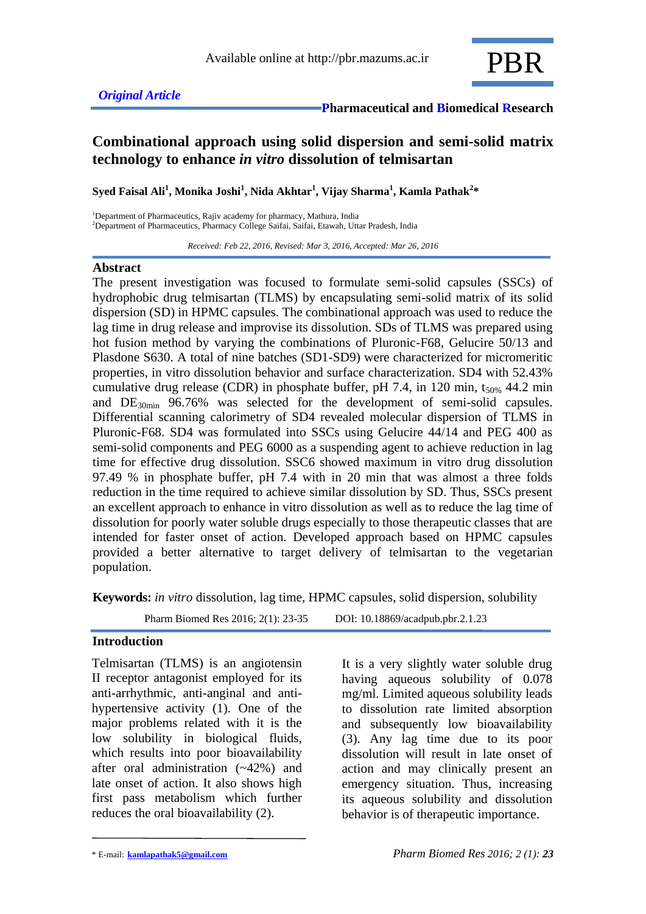

# **Combinational approach using solid dispersion and semi-solid matrix technology to enhance** *in vitro* **dissolution of telmisartan**

**Syed Faisal Ali<sup>1</sup> , Monika Joshi<sup>1</sup> , Nida Akhtar<sup>1</sup> , Vijay Sharma<sup>1</sup> , Kamla Pathak<sup>2</sup> \***

<sup>1</sup>Department of Pharmaceutics, Rajiv academy for pharmacy, Mathura, India <sup>2</sup>Department of Pharmaceutics, Pharmacy College Saifai, Saifai, Etawah, Uttar Pradesh, India

 *Received: Feb 22, 2016, Revised: Mar 3, 2016, Accepted: Mar 26, 2016*

#### **Abstract**

The present investigation was focused to formulate semi-solid capsules (SSCs) of hydrophobic drug telmisartan (TLMS) by encapsulating semi-solid matrix of its solid dispersion (SD) in HPMC capsules. The combinational approach was used to reduce the lag time in drug release and improvise its dissolution. SDs of TLMS was prepared using hot fusion method by varying the combinations of Pluronic-F68, Gelucire 50/13 and Plasdone S630. A total of nine batches (SD1-SD9) were characterized for micromeritic properties, in vitro dissolution behavior and surface characterization. SD4 with 52.43% cumulative drug release (CDR) in phosphate buffer, pH 7.4, in 120 min,  $t_{50\%}$  44.2 min and  $DE_{30min}$  96.76% was selected for the development of semi-solid capsules. Differential scanning calorimetry of SD4 revealed molecular dispersion of TLMS in Pluronic-F68. SD4 was formulated into SSCs using Gelucire 44/14 and PEG 400 as semi-solid components and PEG 6000 as a suspending agent to achieve reduction in lag time for effective drug dissolution. SSC6 showed maximum in vitro drug dissolution 97.49 % in phosphate buffer, pH 7.4 with in 20 min that was almost a three folds reduction in the time required to achieve similar dissolution by SD. Thus, SSCs present an excellent approach to enhance in vitro dissolution as well as to reduce the lag time of dissolution for poorly water soluble drugs especially to those therapeutic classes that are intended for faster onset of action. Developed approach based on HPMC capsules provided a better alternative to target delivery of telmisartan to the vegetarian population.

**Keywords:** *in vitro* dissolution, lag time, HPMC capsules, solid dispersion, solubility

Pharm Biomed Res 2016; 2(1): 23-35 DOI: 10.18869/acadpub.pbr.2.1.23

### **Introduction**

Telmisartan (TLMS) is an angiotensin II receptor antagonist employed for its anti-arrhythmic, anti-anginal and antihypertensive activity (1). One of the major problems related with it is the low solubility in biological fluids, which results into poor bioavailability after oral administration (~42%) and late onset of action. It also shows high first pass metabolism which further reduces the oral bioavailability (2).

It is a very slightly water soluble drug having aqueous solubility of 0.078 mg/ml. Limited aqueous solubility leads to dissolution rate limited absorption and subsequently low bioavailability (3). Any lag time due to its poor dissolution will result in late onset of action and may clinically present an emergency situation. Thus, increasing its aqueous solubility and dissolution behavior is of therapeutic importance.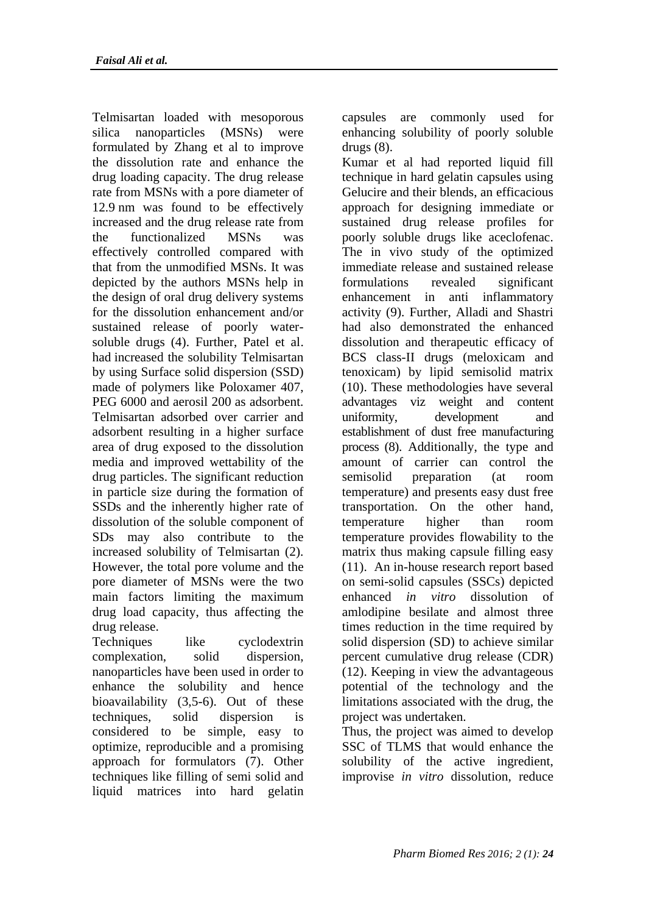Telmisartan loaded with mesoporous silica nanoparticles (MSNs) were formulated by Zhang et al to improve the dissolution rate and enhance the drug loading capacity. The drug release rate from MSNs with a pore diameter of 12.9 nm was found to be effectively increased and the drug release rate from the functionalized MSNs was effectively controlled compared with that from the unmodified MSNs. It was depicted by the authors MSNs help in the design of oral drug delivery systems for the dissolution enhancement and/or sustained release of poorly watersoluble drugs (4). Further, Patel et al. had increased the solubility Telmisartan by using Surface solid dispersion (SSD) made of polymers like Poloxamer 407, PEG 6000 and aerosil 200 as adsorbent. Telmisartan adsorbed over carrier and adsorbent resulting in a higher surface area of drug exposed to the dissolution media and improved wettability of the drug particles. The significant reduction in particle size during the formation of SSDs and the inherently higher rate of dissolution of the soluble component of SDs may also contribute to the increased solubility of Telmisartan (2). However, the total pore volume and the pore diameter of MSNs were the two main factors limiting the maximum drug load capacity, thus affecting the drug release.

Techniques like cyclodextrin complexation, solid dispersion, nanoparticles have been used in order to enhance the solubility and hence bioavailability (3,5-6). Out of these techniques, solid dispersion is considered to be simple, easy to optimize, reproducible and a promising approach for formulators (7). Other techniques like filling of semi solid and liquid matrices into hard gelatin

capsules are commonly used for enhancing solubility of poorly soluble drugs (8).

Kumar et al had reported liquid fill technique in hard gelatin capsules using Gelucire and their blends, an efficacious approach for designing immediate or sustained drug release profiles for poorly soluble drugs like aceclofenac. The in vivo study of the optimized immediate release and sustained release formulations revealed significant enhancement in anti inflammatory activity (9). Further, Alladi and Shastri had also demonstrated the enhanced dissolution and therapeutic efficacy of BCS class-II drugs (meloxicam and tenoxicam) by lipid semisolid matrix (10). These methodologies have several advantages viz weight and content uniformity, development and establishment of dust free manufacturing process (8). Additionally, the type and amount of carrier can control the semisolid preparation (at room temperature) and presents easy dust free transportation. On the other hand, temperature higher than room temperature provides flowability to the matrix thus making capsule filling easy (11). An in-house research report based on semi-solid capsules (SSCs) depicted enhanced *in vitro* dissolution of amlodipine besilate and almost three times reduction in the time required by solid dispersion (SD) to achieve similar percent cumulative drug release (CDR) (12). Keeping in view the advantageous potential of the technology and the limitations associated with the drug, the project was undertaken.

Thus, the project was aimed to develop SSC of TLMS that would enhance the solubility of the active ingredient, improvise *in vitro* dissolution, reduce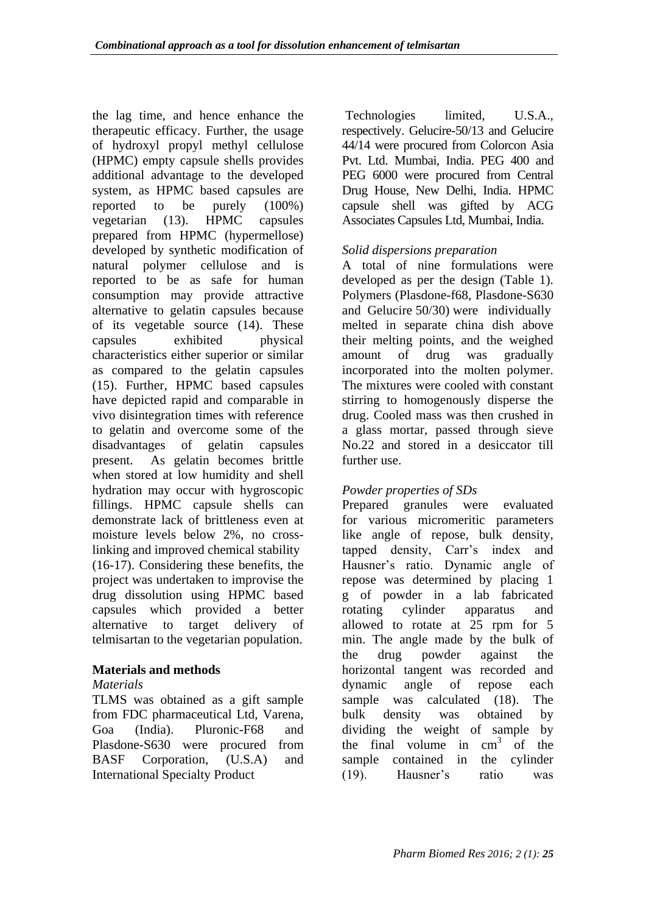the lag time, and hence enhance the therapeutic efficacy. Further, the usage of hydroxyl propyl methyl cellulose (HPMC) empty capsule shells provides additional advantage to the developed system, as HPMC based capsules are reported to be purely (100%) vegetarian (13). HPMC capsules prepared from HPMC (hypermellose) developed by synthetic modification of natural polymer cellulose and is reported to be as safe for human consumption may provide attractive alternative to gelatin capsules because of its vegetable source (14). These capsules exhibited physical characteristics either superior or similar as compared to the gelatin capsules (15). Further, HPMC based capsules have depicted rapid and comparable in vivo disintegration times with reference to gelatin and overcome some of the disadvantages of gelatin capsules present. As gelatin becomes brittle when stored at low humidity and shell hydration may occur with hygroscopic fillings. HPMC capsule shells can demonstrate lack of brittleness even at moisture levels below 2%, no crosslinking and improved chemical stability (16-17). Considering these benefits, the project was undertaken to improvise the drug dissolution using HPMC based capsules which provided a better alternative to target delivery of telmisartan to the vegetarian population.

## **Materials and methods**

## *Materials*

TLMS was obtained as a gift sample from FDC pharmaceutical Ltd, Varena, Goa (India). Pluronic-F68 and Plasdone-S630 were procured from BASF Corporation, (U.S.A) and International Specialty Product

Technologies limited, U.S.A., respectively. Gelucire-50/13 and Gelucire 44/14 were procured from Colorcon Asia Pvt. Ltd. Mumbai, India. PEG 400 and PEG 6000 were procured from Central Drug House, New Delhi, India. HPMC capsule shell was gifted by ACG Associates Capsules Ltd, Mumbai, India.

## *Solid dispersions preparation*

A total of nine formulations were developed as per the design (Table 1). Polymers (Plasdone-f68, Plasdone-S630 and Gelucire 50/30) were individually melted in separate china dish above their melting points, and the weighed amount of drug was gradually incorporated into the molten polymer. The mixtures were cooled with constant stirring to homogenously disperse the drug. Cooled mass was then crushed in a glass mortar, passed through sieve No.22 and stored in a desiccator till further use.

## *Powder properties of SDs*

Prepared granules were evaluated for various micromeritic parameters like angle of repose, bulk density, tapped density, Carr's index and Hausner's ratio. Dynamic angle of repose was determined by placing 1 g of powder in a lab fabricated rotating cylinder apparatus and allowed to rotate at 25 rpm for 5 min. The angle made by the bulk of the drug powder against the horizontal tangent was recorded and dynamic angle of repose each sample was calculated (18). The bulk density was obtained by dividing the weight of sample by the final volume in  $cm<sup>3</sup>$  of the sample contained in the cylinder (19). Hausner's ratio was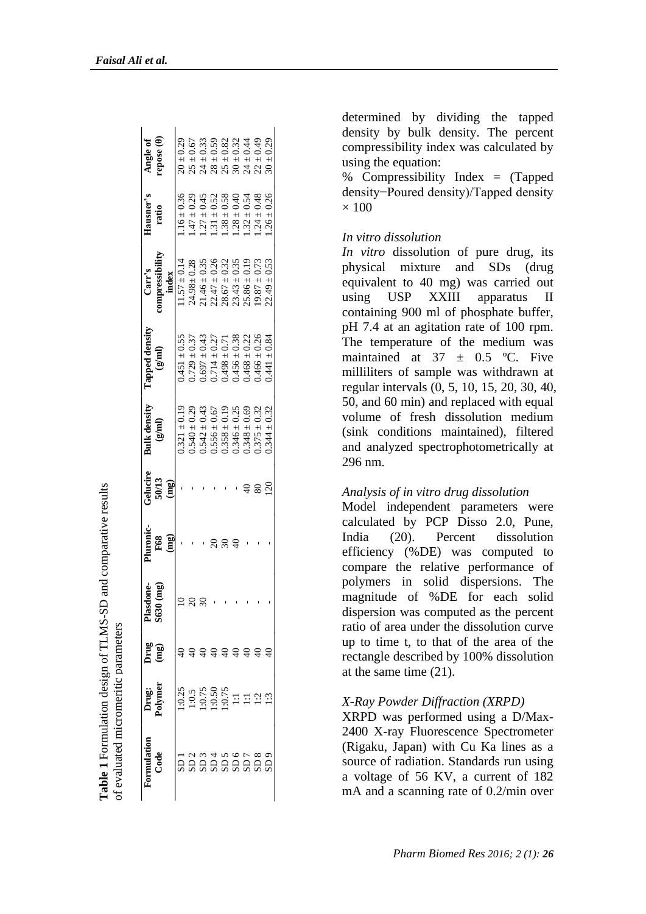| Drug<br>(mg)           |                         |                   |                                                                              |                                                                                                  |                                                                              |                    |                                     |
|------------------------|-------------------------|-------------------|------------------------------------------------------------------------------|--------------------------------------------------------------------------------------------------|------------------------------------------------------------------------------|--------------------|-------------------------------------|
| Plasdone-<br>S630 (mg) | Pluronic-<br><b>F68</b> | Gelucire<br>50/13 | <b>Bulk density</b><br>$\binom{g\{m\}}{g}$                                   | Tapped density<br>$\mathbf{m}(\mathbf{B})$                                                       | papressibility<br>Carr's                                                     | Hausner's<br>ratio | Angle of<br>repose ( <del>0</del> ) |
|                        | (mg)                    | (mg)              |                                                                              |                                                                                                  | index                                                                        |                    |                                     |
|                        |                         |                   | $0.321 \pm 0.19$                                                             | $0.451 \pm 0.55$                                                                                 | $1.57 \pm 0.14$                                                              | $1.16 \pm 0.36$    | $20 \pm 0.29$                       |
|                        |                         |                   | $0.540 \pm 0.29$<br>$0.542 \pm 0.43$                                         | $0.729 \pm 0.37$                                                                                 | $24.98 \pm 0.28$                                                             | $-47 \pm 0.29$     |                                     |
|                        |                         |                   |                                                                              | $= 0.43$<br>0.697:                                                                               |                                                                              | $.27 \pm 0.45$     | $25 \pm 0.67$<br>$24 \pm 0.33$      |
|                        |                         |                   |                                                                              | $0.714 \pm 0.27$<br>$0.498 \pm 0.71$<br>$0.456 \pm 0.38$<br>$0.468 \pm 0.22$<br>$0.466 \pm 0.22$ | 21.46 ± 0.35<br>22.47 ± 0.26<br>23.67 ± 0.32<br>23.43 ± 0.35<br>25.86 ± 0.19 | $1.31 \pm 0.52$    | $28 \pm 0.59$                       |
|                        |                         |                   | $0.556 \pm 0.67$<br>$0.358 \pm 0.19$<br>$0.346 \pm 0.25$<br>$0.348 \pm 0.25$ |                                                                                                  |                                                                              | $.38 \pm 0.58$     |                                     |
|                        |                         |                   |                                                                              |                                                                                                  |                                                                              | $.28 \pm 0.40$     | $25 \pm 0.82$<br>30 ± 0.32          |
|                        |                         |                   |                                                                              |                                                                                                  |                                                                              | $.32 \pm 0.54$     | $24 \pm 0.44$<br>22 ± 0.49          |
|                        |                         |                   | $0.375 \pm 0.32$                                                             |                                                                                                  | $9.87 \pm 0.73$                                                              | $.24 \pm 0.48$     |                                     |
|                        |                         | $\approx$         | $0.344 \pm 0.32$                                                             | $0.441 \pm 0.84$                                                                                 | $22.49 \pm 0.53$                                                             | $0.26 \pm 0.26$    | $30 \pm 0.29$                       |

**Table 1** Formulation design of TLMS-SD and comparative results

Table 1 Formulation design of TLMS-SD and comparative results

of evaluated micromeritic parameters

of evaluated micromeritic parameters

determined by dividing the tapped density by bulk density. The percent compressibility index was calculated by using the equation:

% Compressibility Index = (Tapped density−Poured density)/Tapped density  $\times$  100

#### *In vitro dissolution*

*In vitro* dissolution of pure drug, its physical mixture and SDs (drug equivalent to 40 mg) was carried out using USP XXIII apparatus II containing 900 ml of phosphate buffer, pH 7.4 at an agitation rate of 100 rpm. The temperature of the medium was maintained at  $37 \pm 0.5$  °C. Five milliliters of sample was withdrawn at regular intervals (0, 5, 10, 15, 20, 30, 40, 50, and 60 min) and replaced with equal volume of fresh dissolution medium (sink conditions maintained), filtered and analyzed spectrophotometrically at 296 nm.

#### *Analysis of in vitro drug dissolution*

Model independent parameters were calculated by PCP Disso 2.0, Pune, India (20). Percent dissolution efficiency (%DE) was computed to compare the relative performance of polymers in solid dispersions. The magnitude of %DE for each solid dispersion was computed as the percent ratio of area under the dissolution curve up to time t, to that of the area of the rectangle described by 100% dissolution at the same time (21).

#### *X-Ray Powder Diffraction (XRPD)*

 $\begin{bmatrix}\n\frac{1}{2} & \frac{1}{2} & \frac{1}{2} & \frac{1}{2} & \frac{1}{2} \\
\frac{1}{2} & \frac{1}{2} & \frac{1}{2} & \frac{1}{2} & \frac{1}{2} \\
\frac{1}{2} & \frac{1}{2} & \frac{1}{2} & \frac{1}{2} & \frac{1}{2} \\
\frac{1}{2} & \frac{1}{2} & \frac{1}{2} & \frac{1}{2} & \frac{1}{2} \\
\frac{1}{2} & \frac{1}{2} & \frac{1}{2} & \frac{1}{2} & \frac{1}{2} \\
\frac{1}{2} & \frac{1}{$ XRPD was performed using a D/Max - 2400 X -ray Fluorescence Spectrometer (Rigaku, Japan) with Cu Ka lines as a source of radiation. Standards run using a voltage of 56 KV, a current of 182 mA and a scanning rate of 0.2/min over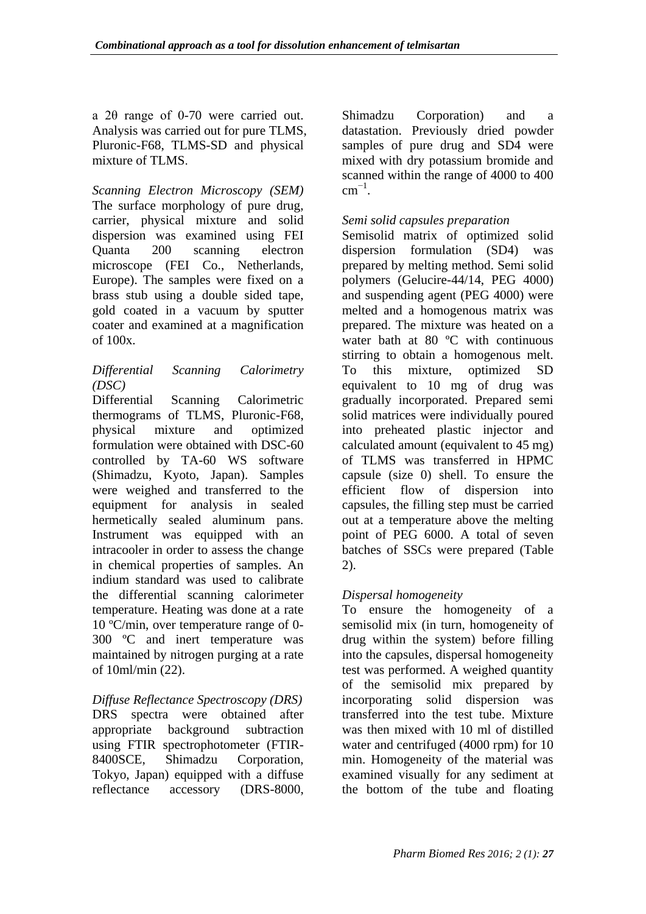a 2θ range of 0-70 were carried out. Analysis was carried out for pure TLMS, Pluronic-F68, TLMS-SD and physical mixture of TLMS.

*Scanning Electron Microscopy (SEM)* The surface morphology of pure drug, carrier, physical mixture and solid dispersion was examined using FEI Quanta 200 scanning electron microscope (FEI Co., Netherlands, Europe). The samples were fixed on a brass stub using a double sided tape, gold coated in a vacuum by sputter coater and examined at a magnification of 100x.

## *Differential Scanning Calorimetry (DSC)*

Differential Scanning Calorimetric thermograms of TLMS, Pluronic-F68, physical mixture and optimized formulation were obtained with DSC-60 controlled by TA-60 WS software (Shimadzu, Kyoto, Japan). Samples were weighed and transferred to the equipment for analysis in sealed hermetically sealed aluminum pans. Instrument was equipped with an intracooler in order to assess the change in chemical properties of samples. An indium standard was used to calibrate the differential scanning calorimeter temperature. Heating was done at a rate 10 ºC/min, over temperature range of 0- 300 ºC and inert temperature was maintained by nitrogen purging at a rate of 10ml/min (22).

# *Diffuse Reflectance Spectroscopy (DRS)*

DRS spectra were obtained after appropriate background subtraction using FTIR spectrophotometer (FTIR-8400SCE, Shimadzu Corporation, Tokyo, Japan) equipped with a diffuse reflectance accessory (DRS-8000,

Shimadzu Corporation) and a datastation. Previously dried powder samples of pure drug and SD4 were mixed with dry potassium bromide and scanned within the range of 4000 to 400  $cm^{-1}$ .

### *Semi solid capsules preparation*

Semisolid matrix of optimized solid dispersion formulation (SD4) was prepared by melting method. Semi solid polymers (Gelucire-44/14, PEG 4000) and suspending agent (PEG 4000) were melted and a homogenous matrix was prepared. The mixture was heated on a water bath at 80 °C with continuous stirring to obtain a homogenous melt. To this mixture, optimized SD equivalent to 10 mg of drug was gradually incorporated. Prepared semi solid matrices were individually poured into preheated plastic injector and calculated amount (equivalent to 45 mg) of TLMS was transferred in HPMC capsule (size 0) shell. To ensure the efficient flow of dispersion into capsules, the filling step must be carried out at a temperature above the melting point of PEG 6000. A total of seven batches of SSCs were prepared (Table 2).

## *Dispersal homogeneity*

To ensure the homogeneity of a semisolid mix (in turn, homogeneity of drug within the system) before filling into the capsules, dispersal homogeneity test was performed. A weighed quantity of the semisolid mix prepared by incorporating solid dispersion was transferred into the test tube. Mixture was then mixed with 10 ml of distilled water and centrifuged (4000 rpm) for 10 min. Homogeneity of the material was examined visually for any sediment at the bottom of the tube and floating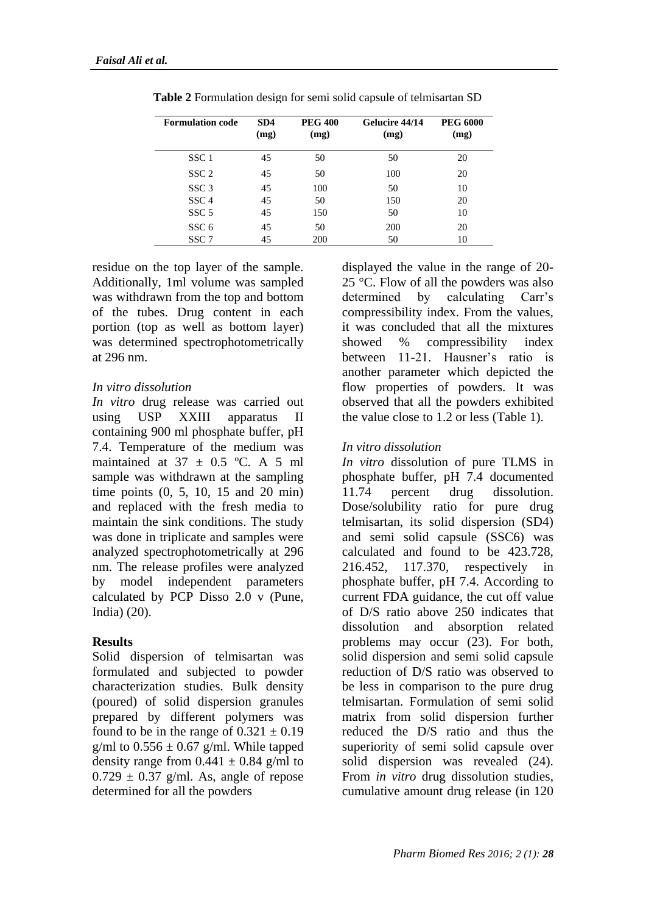| <b>Formulation code</b> | SD4<br>(mg) | <b>PEG 400</b><br>(mg) | Gelucire 44/14<br>(mg) | <b>PEG 6000</b><br>(mg) |
|-------------------------|-------------|------------------------|------------------------|-------------------------|
| SSC <sub>1</sub>        | 45          | 50                     | 50                     | 20                      |
| SSC <sub>2</sub>        | 45          | 50                     | 100                    | 20                      |
| SSC <sub>3</sub>        | 45          | 100                    | 50                     | 10                      |
| SSC <sub>4</sub>        | 45          | 50                     | 150                    | 20                      |
| SSC <sub>5</sub>        | 45          | 150                    | 50                     | 10                      |
| SSC <sub>6</sub>        | 45          | 50                     | 200                    | 20                      |
| SSC <sub>7</sub>        | 45          | 200                    | 50                     | 10                      |

**Table 2** Formulation design for semi solid capsule of telmisartan SD

residue on the top layer of the sample. Additionally, 1ml volume was sampled was withdrawn from the top and bottom of the tubes. Drug content in each portion (top as well as bottom layer) was determined spectrophotometrically at 296 nm.

### *In vitro dissolution*

*In vitro* drug release was carried out using USP XXIII apparatus II containing 900 ml phosphate buffer, pH 7.4. Temperature of the medium was maintained at  $37 \pm 0.5$  °C. A 5 ml sample was withdrawn at the sampling time points (0, 5, 10, 15 and 20 min) and replaced with the fresh media to maintain the sink conditions. The study was done in triplicate and samples were analyzed spectrophotometrically at 296 nm. The release profiles were analyzed by model independent parameters calculated by PCP Disso 2.0 v (Pune, India) (20).

## **Results**

Solid dispersion of telmisartan was formulated and subjected to powder characterization studies. Bulk density (poured) of solid dispersion granules prepared by different polymers was found to be in the range of  $0.321 \pm 0.19$ g/ml to  $0.556 \pm 0.67$  g/ml. While tapped density range from  $0.441 \pm 0.84$  g/ml to  $0.729 \pm 0.37$  g/ml. As, angle of repose determined for all the powders

displayed the value in the range of 20- 25 °C. Flow of all the powders was also determined by calculating Carr's compressibility index. From the values, it was concluded that all the mixtures showed % compressibility index between 11-21. Hausner's ratio is another parameter which depicted the flow properties of powders. It was observed that all the powders exhibited the value close to 1.2 or less (Table 1).

## *In vitro dissolution*

*In vitro* dissolution of pure TLMS in phosphate buffer, pH 7.4 documented 11.74 percent drug dissolution. Dose/solubility ratio for pure drug telmisartan, its solid dispersion (SD4) and semi solid capsule (SSC6) was calculated and found to be 423.728, 216.452, 117.370, respectively in phosphate buffer, pH 7.4. According to current FDA guidance, the cut off value of D/S ratio above 250 indicates that dissolution and absorption related problems may occur (23). For both, solid dispersion and semi solid capsule reduction of D/S ratio was observed to be less in comparison to the pure drug telmisartan. Formulation of semi solid matrix from solid dispersion further reduced the D/S ratio and thus the superiority of semi solid capsule over solid dispersion was revealed (24). From *in vitro* drug dissolution studies, cumulative amount drug release (in 120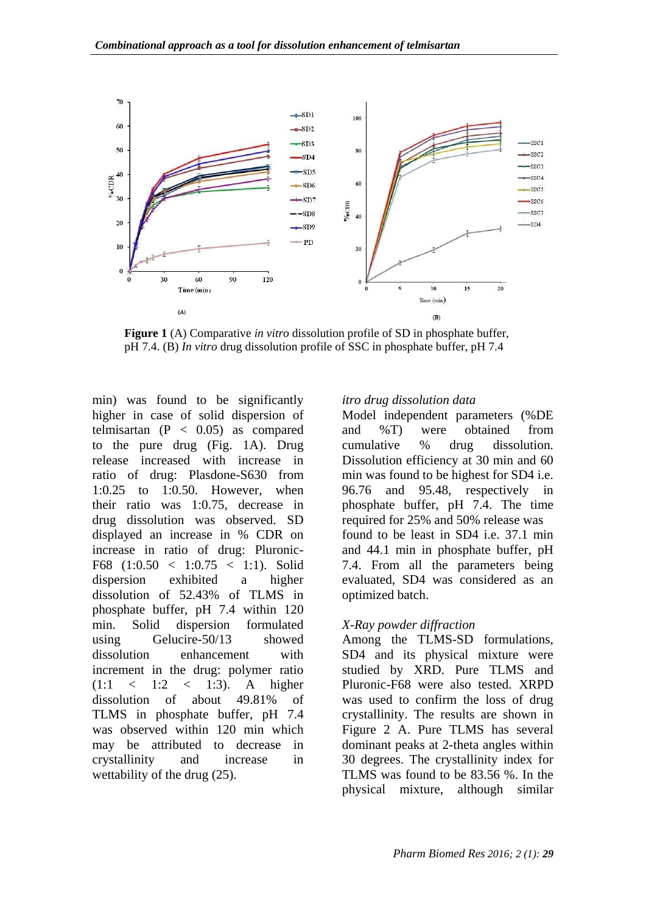

**Figure 1** (A) Comparative *in vitro* dissolution profile of SD in phosphate buffer, pH 7.4. (B) *In vitro* drug dissolution profile of SSC in phosphate buffer, pH 7.4

min) was found to be significantly higher in case of solid dispersion of telmisartan  $(P < 0.05)$  as compared to the pure drug (Fig. 1A). Drug release increased with increase in ratio of drug: Plasdone-S630 from 1:0.25 to 1:0.50. However, when their ratio was 1:0.75, decrease in drug dissolution was observed. SD displayed an increase in % CDR on increase in ratio of drug: Pluronic-F68  $(1:0.50 < 1:0.75 < 1:1)$ . Solid dispersion exhibited a higher dissolution of 52.43% of TLMS in phosphate buffer, pH 7.4 within 120 min. Solid dispersion formulated using Gelucire-50/13 showed dissolution enhancement with increment in the drug: polymer ratio  $(1:1 < 1:2 < 1:3)$ . A higher dissolution of about 49.81% of TLMS in phosphate buffer, pH 7.4 was observed within 120 min which may be attributed to decrease in crystallinity and increase in wettability of the drug (25).

### *itro drug dissolution data*

Model independent parameters (%DE and %T) were obtained from cumulative % drug dissolution. Dissolution efficiency at 30 min and 60 min was found to be highest for SD4 i.e. 96.76 and 95.48, respectively in phosphate buffer, pH 7.4. The time required for 25% and 50% release was found to be least in SD4 i.e. 37.1 min and 44.1 min in phosphate buffer, pH 7.4. From all the parameters being evaluated, SD4 was considered as an optimized batch.

## *X-Ray powder diffraction*

Among the TLMS-SD formulations, SD4 and its physical mixture were studied by XRD. Pure TLMS and Pluronic-F68 were also tested. XRPD was used to confirm the loss of drug crystallinity. The results are shown in Figure 2 A. Pure TLMS has several dominant peaks at 2-theta angles within 30 degrees. The crystallinity index for TLMS was found to be 83.56 %. In the physical mixture, although similar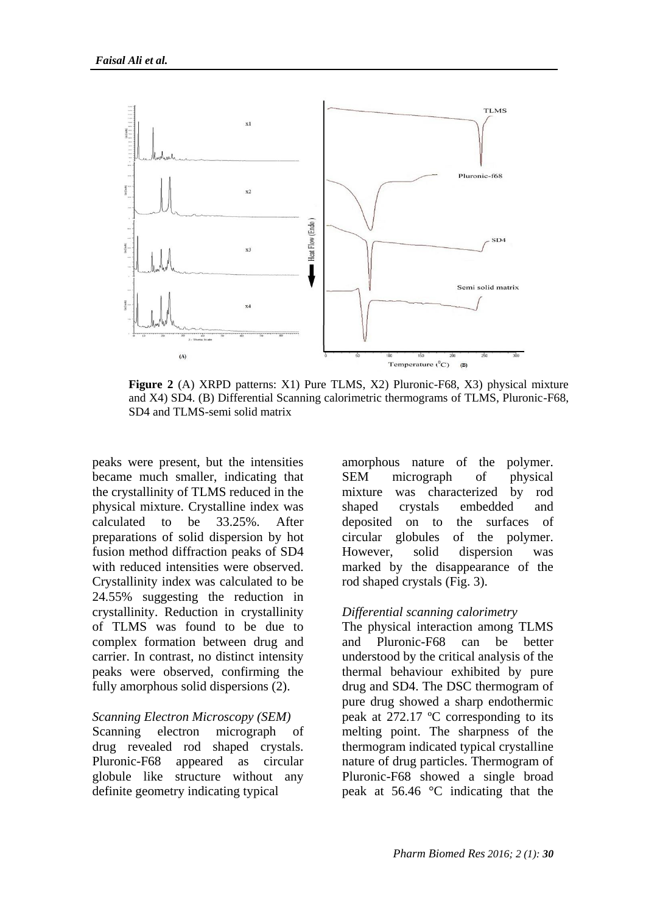

**Figure 2** (A) XRPD patterns: X1) Pure TLMS, X2) Pluronic-F68, X3) physical mixture and X4) SD4. (B) Differential Scanning calorimetric thermograms of TLMS, Pluronic-F68, SD4 and TLMS-semi solid matrix

peaks were present, but the intensities became much smaller, indicating that the crystallinity of TLMS reduced in the physical mixture. Crystalline index was calculated to be 33.25%. After preparations of solid dispersion by hot fusion method diffraction peaks of SD4 with reduced intensities were observed. Crystallinity index was calculated to be 24.55% suggesting the reduction in crystallinity. Reduction in crystallinity of TLMS was found to be due to complex formation between drug and carrier. In contrast, no distinct intensity peaks were observed, confirming the fully amorphous solid dispersions (2).

#### *Scanning Electron Microscopy (SEM)*

Scanning electron micrograph of drug revealed rod shaped crystals. Pluronic-F68 appeared as circular globule like structure without any definite geometry indicating typical

amorphous nature of the polymer. SEM micrograph of physical mixture was characterized by rod shaped crystals embedded and deposited on to the surfaces of circular globules of the polymer. However, solid dispersion was marked by the disappearance of the rod shaped crystals (Fig. 3).

#### *Differential scanning calorimetry*

The physical interaction among TLMS and Pluronic-F68 can be better understood by the critical analysis of the thermal behaviour exhibited by pure drug and SD4. The DSC thermogram of pure drug showed a sharp endothermic peak at 272.17 ºC corresponding to its melting point. The sharpness of the thermogram indicated typical crystalline nature of drug particles. Thermogram of Pluronic-F68 showed a single broad peak at 56.46 °C indicating that the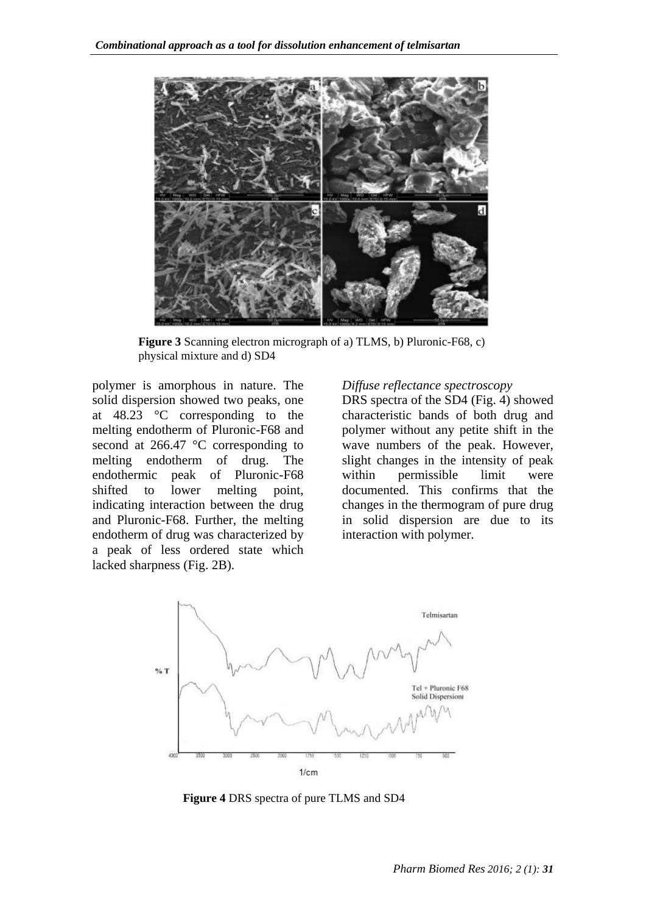

**Figure 3** Scanning electron micrograph of a) TLMS, b) Pluronic-F68, c) physical mixture and d) SD4

polymer is amorphous in nature. The solid dispersion showed two peaks, one at 48.23 °C corresponding to the melting endotherm of Pluronic-F68 and second at 266.47 °C corresponding to melting endotherm of drug. The endothermic peak of Pluronic-F68 shifted to lower melting point, indicating interaction between the drug and Pluronic-F68. Further, the melting endotherm of drug was characterized by a peak of less ordered state which lacked sharpness (Fig. 2B).

#### *Diffuse reflectance spectroscopy*

DRS spectra of the SD4 (Fig. 4) showed characteristic bands of both drug and polymer without any petite shift in the wave numbers of the peak. However, slight changes in the intensity of peak within permissible limit were documented. This confirms that the changes in the thermogram of pure drug in solid dispersion are due to its interaction with polymer.



**Figure 4** DRS spectra of pure TLMS and SD4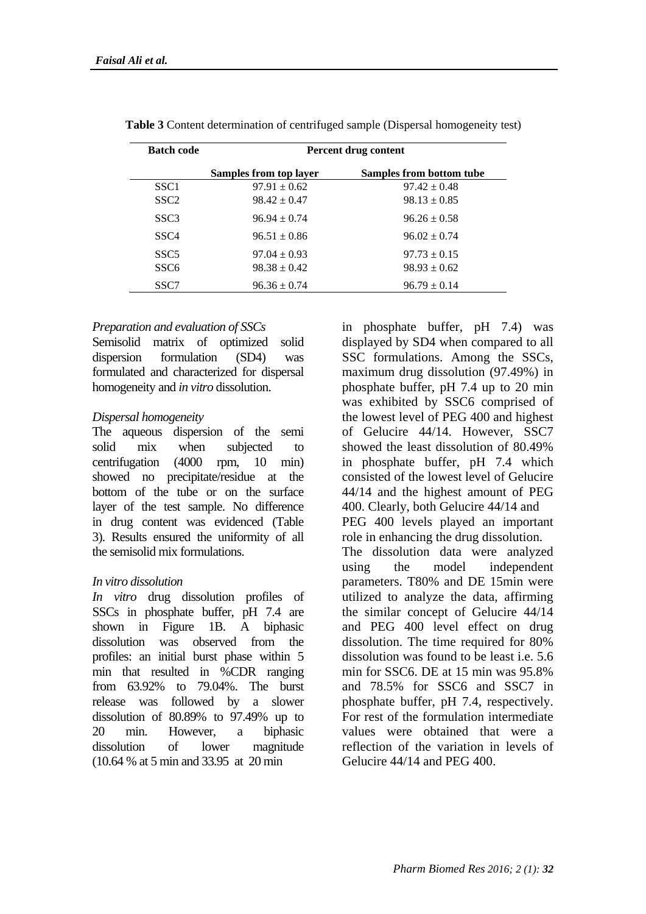| <b>Batch code</b>                    | Percent drug content                 |                                      |  |
|--------------------------------------|--------------------------------------|--------------------------------------|--|
|                                      | Samples from top layer               | Samples from bottom tube             |  |
| SSC <sub>1</sub>                     | $97.91 \pm 0.62$                     | $97.42 \pm 0.48$                     |  |
| SSC <sub>2</sub>                     | $98.42 \pm 0.47$                     | $98.13 \pm 0.85$                     |  |
| SSC <sub>3</sub>                     | $96.94 + 0.74$                       | $96.26 \pm 0.58$                     |  |
| SSC <sub>4</sub>                     | $96.51 \pm 0.86$                     | $96.02 + 0.74$                       |  |
| SSC <sub>5</sub><br>SSC <sub>6</sub> | $97.04 \pm 0.93$<br>$98.38 \pm 0.42$ | $97.73 \pm 0.15$<br>$98.93 \pm 0.62$ |  |
| SSC7                                 | $96.36 \pm 0.74$                     | $96.79 \pm 0.14$                     |  |

**Table 3** Content determination of centrifuged sample (Dispersal homogeneity test)

#### *Preparation and evaluation of SSCs*

Semisolid matrix of optimized solid dispersion formulation (SD4) was formulated and characterized for dispersal homogeneity and *in vitro* dissolution.

#### *Dispersal homogeneity*

The aqueous dispersion of the semi solid mix when subjected to centrifugation (4000 rpm, 10 min) showed no precipitate/residue at the bottom of the tube or on the surface layer of the test sample. No difference in drug content was evidenced (Table 3). Results ensured the uniformity of all the semisolid mix formulations.

#### *In vitro dissolution*

*In vitro* drug dissolution profiles of SSCs in phosphate buffer, pH 7.4 are shown in Figure 1B. A biphasic dissolution was observed from the profiles: an initial burst phase within 5 min that resulted in %CDR ranging from 63.92% to 79.04%. The burst release was followed by a slower dissolution of 80.89% to 97.49% up to 20 min. However, a biphasic dissolution of lower magnitude (10.64 % at 5 min and 33.95 at 20 min

in phosphate buffer, pH 7.4) was displayed by SD4 when compared to all SSC formulations. Among the SSCs, maximum drug dissolution (97.49%) in phosphate buffer, pH 7.4 up to 20 min was exhibited by SSC6 comprised of the lowest level of PEG 400 and highest of Gelucire 44/14. However, SSC7 showed the least dissolution of 80.49% in phosphate buffer, pH 7.4 which consisted of the lowest level of Gelucire 44/14 and the highest amount of PEG 400. Clearly, both Gelucire 44/14 and PEG 400 levels played an important role in enhancing the drug dissolution. The dissolution data were analyzed using the model independent parameters. T80% and DE 15min were utilized to analyze the data, affirming the similar concept of Gelucire 44/14 and PEG 400 level effect on drug dissolution. The time required for 80% dissolution was found to be least i.e. 5.6

min for SSC6. DE at 15 min was 95.8% and 78.5% for SSC6 and SSC7 in phosphate buffer, pH 7.4, respectively. For rest of the formulation intermediate values were obtained that were a reflection of the variation in levels of

Gelucire 44/14 and PEG 400.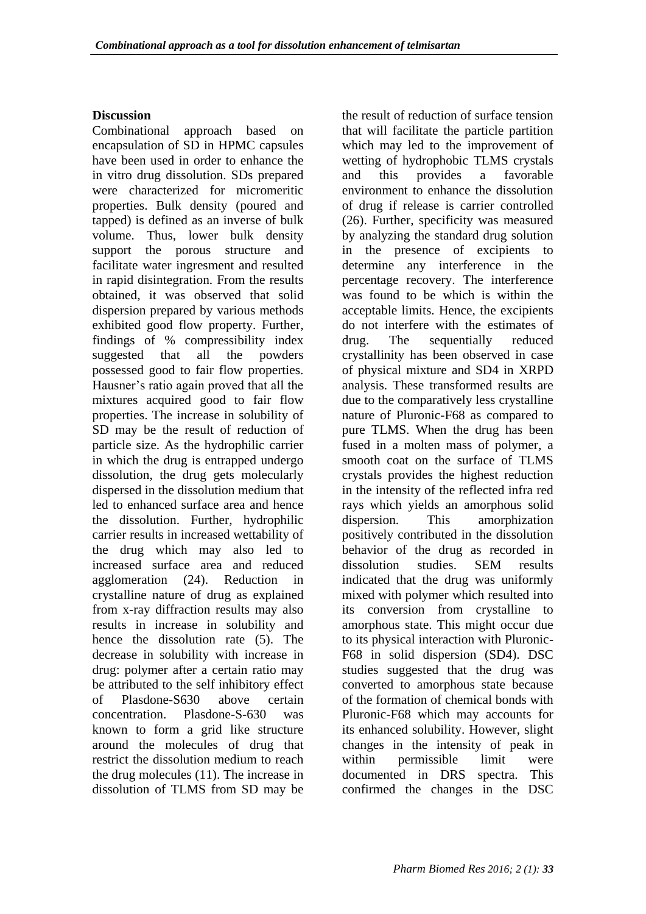## **Discussion**

Combinational approach based on encapsulation of SD in HPMC capsules have been used in order to enhance the in vitro drug dissolution. SDs prepared were characterized for micromeritic properties. Bulk density (poured and tapped) is defined as an inverse of bulk volume. Thus, lower bulk density support the porous structure and facilitate water ingresment and resulted in rapid disintegration. From the results obtained, it was observed that solid dispersion prepared by various methods exhibited good flow property. Further, findings of % compressibility index suggested that all the powders possessed good to fair flow properties. Hausner's ratio again proved that all the mixtures acquired good to fair flow properties. The increase in solubility of SD may be the result of reduction of particle size. As the hydrophilic carrier in which the drug is entrapped undergo dissolution, the drug gets molecularly dispersed in the dissolution medium that led to enhanced surface area and hence the dissolution. Further, hydrophilic carrier results in increased wettability of the drug which may also led to increased surface area and reduced agglomeration (24). Reduction in crystalline nature of drug as explained from x-ray diffraction results may also results in increase in solubility and hence the dissolution rate (5). The decrease in solubility with increase in drug: polymer after a certain ratio may be attributed to the self inhibitory effect of Plasdone-S630 above certain concentration. Plasdone-S-630 was known to form a grid like structure around the molecules of drug that restrict the dissolution medium to reach the drug molecules (11). The increase in dissolution of TLMS from SD may be

the result of reduction of surface tension that will facilitate the particle partition which may led to the improvement of wetting of hydrophobic TLMS crystals and this provides a favorable environment to enhance the dissolution of drug if release is carrier controlled (26). Further, specificity was measured by analyzing the standard drug solution in the presence of excipients to determine any interference in the percentage recovery. The interference was found to be which is within the acceptable limits. Hence, the excipients do not interfere with the estimates of drug. The sequentially reduced crystallinity has been observed in case of physical mixture and SD4 in XRPD analysis. These transformed results are due to the comparatively less crystalline nature of Pluronic-F68 as compared to pure TLMS. When the drug has been fused in a molten mass of polymer, a smooth coat on the surface of TLMS crystals provides the highest reduction in the intensity of the reflected infra red rays which yields an amorphous solid dispersion. This amorphization positively contributed in the dissolution behavior of the drug as recorded in dissolution studies. SEM results indicated that the drug was uniformly mixed with polymer which resulted into its conversion from crystalline to amorphous state. This might occur due to its physical interaction with Pluronic-F68 in solid dispersion (SD4). DSC studies suggested that the drug was converted to amorphous state because of the formation of chemical bonds with Pluronic-F68 which may accounts for its enhanced solubility. However, slight changes in the intensity of peak in within permissible limit were documented in DRS spectra. This confirmed the changes in the DSC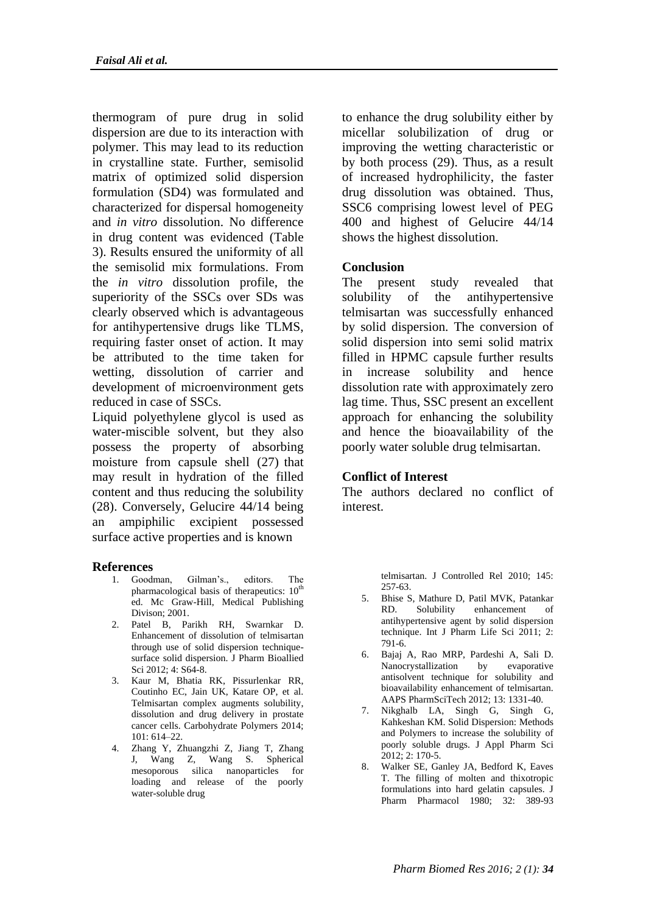thermogram of pure drug in solid dispersion are due to its interaction with polymer. This may lead to its reduction in crystalline state. Further, semisolid matrix of optimized solid dispersion formulation (SD4) was formulated and characterized for dispersal homogeneity and *in vitro* dissolution. No difference in drug content was evidenced (Table 3). Results ensured the uniformity of all the semisolid mix formulations. From the *in vitro* dissolution profile, the superiority of the SSCs over SDs was clearly observed which is advantageous for antihypertensive drugs like TLMS, requiring faster onset of action. It may be attributed to the time taken for wetting, dissolution of carrier and development of microenvironment gets reduced in case of SSCs.

Liquid polyethylene glycol is used as water-miscible solvent, but they also possess the property of absorbing moisture from capsule shell (27) that may result in hydration of the filled content and thus reducing the solubility (28). Conversely, Gelucire 44/14 being an ampiphilic excipient possessed surface active properties and is known

#### **References**

- 1. Goodman, Gilman's., editors. The pharmacological basis of therapeutics:  $10<sup>th</sup>$ ed. Mc Graw-Hill, Medical Publishing Divison; 2001.
- 2. Patel B, Parikh RH, Swarnkar D. Enhancement of dissolution of telmisartan through use of solid dispersion techniquesurface solid dispersion. J Pharm Bioallied Sci 2012; 4: S64-8.
- 3. Kaur M, Bhatia RK, Pissurlenkar RR, Coutinho EC, Jain UK, Katare OP, et al. Telmisartan complex augments solubility, dissolution and drug delivery in prostate cancer cells. Carbohydrate Polymers 2014; 101: 614–22.
- 4. Zhang Y, Zhuangzhi Z, Jiang T, Zhang J, Wang Z, Wang S. Spherical mesoporous silica nanoparticles for loading and release of the poorly water-soluble drug

to enhance the drug solubility either by micellar solubilization of drug or improving the wetting characteristic or by both process (29). Thus, as a result of increased hydrophilicity, the faster drug dissolution was obtained. Thus, SSC6 comprising lowest level of PEG 400 and highest of Gelucire 44/14 shows the highest dissolution.

### **Conclusion**

The present study revealed that solubility of the antihypertensive telmisartan was successfully enhanced by solid dispersion. The conversion of solid dispersion into semi solid matrix filled in HPMC capsule further results in increase solubility and hence dissolution rate with approximately zero lag time. Thus, SSC present an excellent approach for enhancing the solubility and hence the bioavailability of the poorly water soluble drug telmisartan.

#### **Conflict of Interest**

The authors declared no conflict of interest.

> telmisartan. J Controlled Rel 2010; 145: 257-63.

- 5. Bhise S, Mathure D, Patil MVK, Patankar RD. Solubility enhancement of antihypertensive agent by solid dispersion technique. Int J Pharm Life Sci 2011; 2: 791-6.
- 6. Bajaj A, Rao MRP, Pardeshi A, Sali D. Nanocrystallization by evaporative antisolvent technique for solubility and bioavailability enhancement of telmisartan. AAPS PharmSciTech 2012; 13: 1331-40.
- 7. Nikghalb LA, Singh G, Singh G, Kahkeshan KM. Solid Dispersion: Methods and Polymers to increase the solubility of poorly soluble drugs. J Appl Pharm Sci 2012; 2: 170-5.
- 8. Walker SE, Ganley JA, Bedford K, Eaves T. The filling of molten and thixotropic formulations into hard gelatin capsules. J Pharm Pharmacol 1980; 32: 389-93